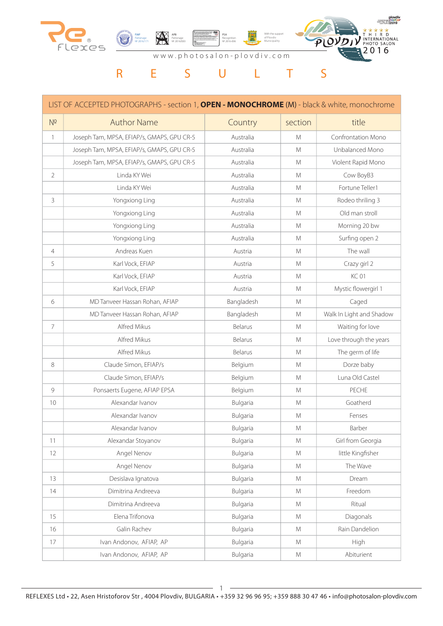

|                | LIST OF ACCEPTED PHOTOGRAPHS - section 1, OPEN - MONOCHROME (M) - black & white, monochrome |            |         |                          |
|----------------|---------------------------------------------------------------------------------------------|------------|---------|--------------------------|
| $N^{\Omega}$   | <b>Author Name</b>                                                                          | Country    | section | title                    |
| $\mathbf{1}$   | Joseph Tam, MPSA, EFIAP/s, GMAPS, GPU CR-5                                                  | Australia  | M       | Confrontation Mono       |
|                | Joseph Tam, MPSA, EFIAP/s, GMAPS, GPU CR-5                                                  | Australia  | M       | Unbalanced Mono          |
|                | Joseph Tam, MPSA, EFIAP/s, GMAPS, GPU CR-5                                                  | Australia  | M       | Violent Rapid Mono       |
| $\overline{2}$ | Linda KY Wei                                                                                | Australia  | M       | Cow BoyB3                |
|                | Linda KY Wei                                                                                | Australia  | M       | Fortune Teller1          |
| 3              | Yongxiong Ling                                                                              | Australia  | M       | Rodeo thriling 3         |
|                | Yongxiong Ling                                                                              | Australia  | M       | Old man stroll           |
|                | Yongxiong Ling                                                                              | Australia  | M       | Morning 20 bw            |
|                | Yongxiong Ling                                                                              | Australia  | M       | Surfing open 2           |
| $\overline{4}$ | Andreas Kuen                                                                                | Austria    | M       | The wall                 |
| 5              | Karl Vock, EFIAP                                                                            | Austria    | M       | Crazy girl 2             |
|                | Karl Vock, EFIAP                                                                            | Austria    | M       | <b>KC01</b>              |
|                | Karl Vock, EFIAP                                                                            | Austria    | M       | Mystic flowergirl 1      |
| 6              | MD Tanveer Hassan Rohan, AFIAP                                                              | Bangladesh | M       | Caged                    |
|                | MD Tanveer Hassan Rohan, AFIAP                                                              | Bangladesh | M       | Walk In Light and Shadow |
| $\overline{7}$ | Alfred Mikus                                                                                | Belarus    | M       | Waiting for love         |
|                | Alfred Mikus                                                                                | Belarus    | M       | Love through the years   |
|                | Alfred Mikus                                                                                | Belarus    | M       | The germ of life         |
| 8              | Claude Simon, EFIAP/s                                                                       | Belgium    | M       | Dorze baby               |
|                | Claude Simon, EFIAP/s                                                                       | Belgium    | M       | Luna Old Castel          |
| 9              | Ponsaerts Eugene, AFIAP EPSA                                                                | Belgium    | M       | PECHE                    |
| 10             | Alexandar Ivanov                                                                            | Bulgaria   | M       | Goatherd                 |
|                | Alexandar Ivanov                                                                            | Bulgaria   | M       | Fenses                   |
|                | Alexandar Ivanov                                                                            | Bulgaria   | M       | Barber                   |
| 11             | Alexandar Stoyanov                                                                          | Bulgaria   | M       | Girl from Georgia        |
| 12             | Angel Nenov                                                                                 | Bulgaria   | M       | little Kingfisher        |
|                | Angel Nenov                                                                                 | Bulgaria   | M       | The Wave                 |
| 13             | Desislava Ignatova                                                                          | Bulgaria   | M       | Dream                    |
| 14             | Dimitrina Andreeva                                                                          | Bulgaria   | M       | Freedom                  |
|                | Dimitrina Andreeva                                                                          | Bulgaria   | M       | Ritual                   |
| 15             | Elena Trifonova                                                                             | Bulgaria   | M       | Diagonals                |
| 16             | Galin Rachev                                                                                | Bulgaria   | M       | Rain Dandelion           |
| 17             | Ivan Andonov, AFIAP, AP                                                                     | Bulgaria   | M       | High                     |
|                | Ivan Andonov, AFIAP, AP                                                                     | Bulgaria   | M       | Abiturient               |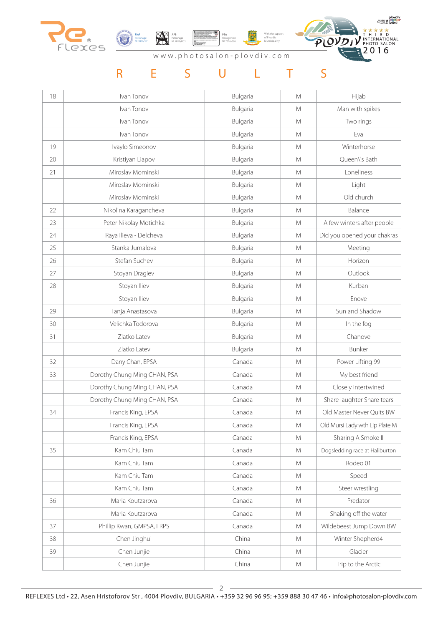



With the support of Plovdiv Municipality PSA Recognition № 2016-096



www.photosalon-plovdiv.com

| 18 | Ivan Tonov                   | Bulgaria | M | Hijab                          |
|----|------------------------------|----------|---|--------------------------------|
|    | Ivan Tonov                   | Bulgaria | M | Man with spikes                |
|    | Ivan Tonov                   | Bulgaria | M | Two rings                      |
|    | Ivan Tonov                   | Bulgaria | M | Eva                            |
| 19 | Ivaylo Simeonov              | Bulgaria | M | Winterhorse                    |
| 20 | Kristiyan Liapov             | Bulgaria | M | Queen\'s Bath                  |
| 21 | Miroslav Mominski            | Bulgaria | M | Loneliness                     |
|    | Miroslav Mominski            | Bulgaria | M | Light                          |
|    | Miroslav Mominski            | Bulgaria | M | Old church                     |
| 22 | Nikolina Karagancheva        | Bulgaria | M | Balance                        |
| 23 | Peter Nikolay Motichka       | Bulgaria | M | A few winters after people     |
| 24 | Raya Ilieva - Delcheva       | Bulgaria | M | Did you opened your chakras    |
| 25 | Stanka Jurnalova             | Bulgaria | M | Meeting                        |
| 26 | Stefan Suchev                | Bulgaria | M | Horizon                        |
| 27 | Stoyan Dragiev               | Bulgaria | M | Outlook                        |
| 28 | Stoyan Iliev                 | Bulgaria | M | Kurban                         |
|    | Stoyan Iliev                 | Bulgaria | M | Enove                          |
| 29 | Tanja Anastasova             | Bulgaria | M | Sun and Shadow                 |
| 30 | Velichka Todorova            | Bulgaria | M | In the fog                     |
| 31 | Zlatko Latev                 | Bulgaria | M | Chanove                        |
|    | Zlatko Latev                 | Bulgaria | M | Bunker                         |
| 32 | Dany Chan, EPSA              | Canada   | M | Power Lifting 99               |
| 33 | Dorothy Chung Ming CHAN, PSA | Canada   | M | My best friend                 |
|    | Dorothy Chung Ming CHAN, PSA | Canada   | M | Closely intertwined            |
|    | Dorothy Chung Ming CHAN, PSA | Canada   | M | Share laughter Share tears     |
| 34 | Francis King, EPSA           | Canada   | M | Old Master Never Quits BW      |
|    | Francis King, EPSA           | Canada   | M | Old Mursi Lady wth Lip Plate M |
|    | Francis King, EPSA           | Canada   | M | Sharing A Smoke II             |
| 35 | Kam Chiu Tam                 | Canada   | M | Dogsledding race at Haliburton |
|    | Kam Chiu Tam                 | Canada   | M | Rodeo 01                       |
|    | Kam Chiu Tam                 | Canada   | M | Speed                          |
|    | Kam Chiu Tam                 | Canada   | M | Steer wrestling                |
| 36 | Maria Koutzarova             | Canada   | M | Predator                       |
|    | Maria Koutzarova             | Canada   | M | Shaking off the water          |
| 37 | Phillip Kwan, GMPSA, FRPS    | Canada   | M | Wildebeest Jump Down BW        |
| 38 | Chen Jinghui                 | China    | M | Winter Shepherd4               |
| 39 | Chen Junjie                  | China    | M | Glacier                        |
|    | Chen Junjie                  | China    | M | Trip to the Arctic             |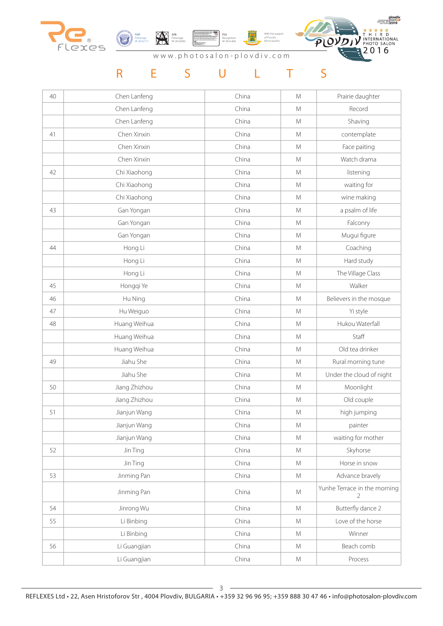



With the support PSA Recognition № 2016-096盛 of Plovdiv Municipality



www.photosalon-plovdiv.com

| 40 | Chen Lanfeng  | China | M             | Prairie daughter                  |
|----|---------------|-------|---------------|-----------------------------------|
|    | Chen Lanfeng  | China | M             | Record                            |
|    | Chen Lanfeng  | China | M             | Shaving                           |
| 41 | Chen Xinxin   | China | M             | contemplate                       |
|    | Chen Xinxin   | China | M             | Face paiting                      |
|    | Chen Xinxin   | China | M             | Watch drama                       |
| 42 | Chi Xiaohong  | China | M             | listening                         |
|    | Chi Xiaohong  | China | M             | waiting for                       |
|    | Chi Xiaohong  | China | ${\mathsf M}$ | wine making                       |
| 43 | Gan Yongan    | China | M             | a psalm of life                   |
|    | Gan Yongan    | China | M             | Falconry                          |
|    | Gan Yongan    | China | M             | Mugui figure                      |
| 44 | Hong Li       | China | M             | Coaching                          |
|    | Hong Li       | China | M             | Hard study                        |
|    | Hong Li       | China | M             | The Village Class                 |
| 45 | Hongqi Ye     | China | ${\mathsf M}$ | Walker                            |
| 46 | Hu Ning       | China | M             | Believers in the mosque           |
| 47 | Hu Weiguo     | China | M             | Yi style                          |
| 48 | Huang Weihua  | China | M             | Hukou Waterfall                   |
|    | Huang Weihua  | China | M             | Staff                             |
|    | Huang Weihua  | China | ${\mathsf M}$ | Old tea drinker                   |
| 49 | Jiahu She     | China | M             | Rural morning tune                |
|    | Jiahu She     | China | M             | Under the cloud of night          |
| 50 | Jiang Zhizhou | China | ${\mathsf M}$ | Moonlight                         |
|    | Jiang Zhizhou | China | M             | Old couple                        |
| 51 | Jianjun Wang  | China | M             | high jumping                      |
|    | Jianjun Wang  | China | M             | painter                           |
|    | Jianjun Wang  | China | ${\sf M}$     | waiting for mother                |
| 52 | Jin Ting      | China | M             | Skyhorse                          |
|    | Jin Ting      | China | M             | Horse in snow                     |
| 53 | Jinming Pan   | China | M             | Advance bravely                   |
|    | Jinming Pan   | China | ${\mathsf M}$ | Yunhe Terrace in the morning<br>2 |
| 54 | Jinrong Wu    | China | M             | Butterfly dance 2                 |
| 55 | Li Binbing    | China | M             | Love of the horse                 |
|    | Li Binbing    | China | M             | Winner                            |
| 56 | Li Guangjian  | China | M             | Beach comb                        |
|    | Li Guangjian  | China | ${\mathsf M}$ | Process                           |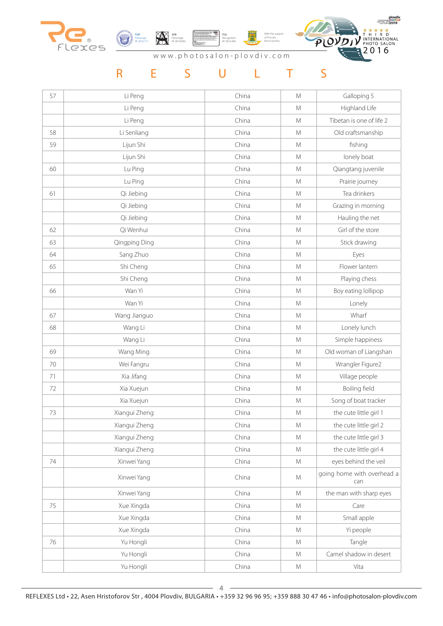



 $\equiv$ With the support PSA Recognition № 2016-096of Plovdiv Municipality



#### www.photosalon-plovdiv.com

| 57 | Li Peng       | China | M | Galloping 5                       |
|----|---------------|-------|---|-----------------------------------|
|    | Li Peng       | China | M | Highland Life                     |
|    | Li Peng       | China | M | Tibetan is one of life 2          |
| 58 | Li Senliang   | China | M | Old craftsmanship                 |
| 59 | Lijun Shi     | China | M | fishing                           |
|    | Lijun Shi     | China | M | lonely boat                       |
| 60 | Lu Ping       | China | M | Qiangtang juvenile                |
|    | Lu Ping       | China | M | Prairie journey                   |
| 61 | Qi Jiebing    | China | M | Tea drinkers                      |
|    | Qi Jiebing    | China | M | Grazing in morning                |
|    | Qi Jiebing    | China | M | Hauling the net                   |
| 62 | Qi Wenhui     | China | M | Girl of the store                 |
| 63 | Qingping Ding | China | M | Stick drawing                     |
| 64 | Sang Zhuo     | China | M | Eyes                              |
| 65 | Shi Cheng     | China | M | Flower lantern                    |
|    | Shi Cheng     | China | M | Playing chess                     |
| 66 | Wan Yi        | China | M | Boy eating lollipop               |
|    | Wan Yi        | China | M | Lonely                            |
| 67 | Wang Jianguo  | China | M | Wharf                             |
| 68 | Wang Li       | China | M | Lonely lunch                      |
|    | Wang Li       | China | M | Simple happiness                  |
| 69 | Wang Ming     | China | M | Old woman of Liangshan            |
| 70 | Wei Fangru    | China | M | Wrangler Figure2                  |
| 71 | Xia Jifang    | China | M | Village people                    |
| 72 | Xia Xuejun    | China | M | Boiling field                     |
|    | Xia Xuejun    | China | M | Song of boat tracker              |
| 73 | Xiangui Zheng | China | M | the cute little girl 1            |
|    | Xiangui Zheng | China | M | the cute little girl 2            |
|    | Xiangui Zheng | China | M | the cute little girl 3            |
|    | Xiangui Zheng | China | M | the cute little girl 4            |
| 74 | Xinwei Yang   | China | M | eyes behind the veil              |
|    | Xinwei Yang   | China | M | going home with overhead a<br>can |
|    | Xinwei Yang   | China | M | the man with sharp eyes           |
| 75 | Xue Xingda    | China | M | Care                              |
|    | Xue Xingda    | China | M | Small apple                       |
|    | Xue Xingda    | China | M | Yi people                         |
| 76 | Yu Hongli     | China | M | Tangle                            |
|    | Yu Hongli     | China | M | Camel shadow in desert            |
|    | Yu Hongli     | China | M | Vita                              |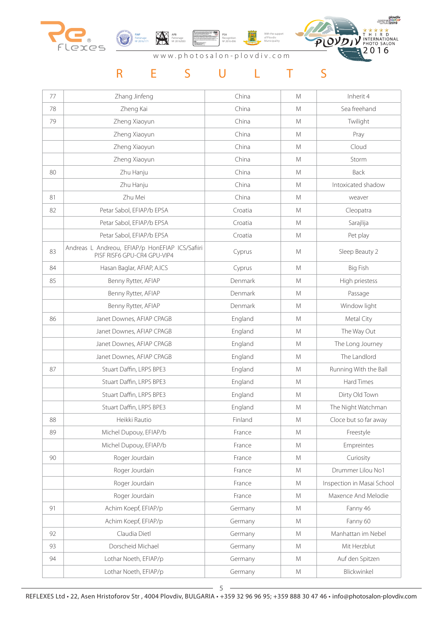



With the support of Plovdiv Municipality PSA Recognition № 2016-096



#### www.photosalon-plovdiv.com

| 77 | Zhang Jinfeng                                                                  | China   | M             | Inherit 4                  |
|----|--------------------------------------------------------------------------------|---------|---------------|----------------------------|
| 78 | Zheng Kai                                                                      | China   | M             | Sea freehand               |
| 79 | Zheng Xiaoyun                                                                  | China   | M             | Twilight                   |
|    | Zheng Xiaoyun                                                                  | China   | M             | Pray                       |
|    | Zheng Xiaoyun                                                                  | China   | M             | Cloud                      |
|    | Zheng Xiaoyun                                                                  | China   | M             | Storm                      |
| 80 | Zhu Hanju                                                                      | China   | M             | Back                       |
|    | Zhu Hanju                                                                      | China   | M             | Intoxicated shadow         |
| 81 | Zhu Mei                                                                        | China   | M             | weaver                     |
| 82 | Petar Sabol, EFIAP/b EPSA                                                      | Croatia | M             | Cleopatra                  |
|    | Petar Sabol, EFIAP/b EPSA                                                      | Croatia | M             | Sarajlija                  |
|    | Petar Sabol, EFIAP/b EPSA                                                      | Croatia | M             | Pet play                   |
| 83 | Andreas L Andreou, EFIAP/p HonEFIAP ICS/Safiiri<br>PISF RISF6 GPU-CR4 GPU-VIP4 | Cyprus  | M             | Sleep Beauty 2             |
| 84 | Hasan Baglar, AFIAP, A.ICS                                                     | Cyprus  | M             | Big Fish                   |
| 85 | Benny Rytter, AFIAP                                                            | Denmark | M             | High priestess             |
|    | Benny Rytter, AFIAP                                                            | Denmark | M             | Passage                    |
|    | Benny Rytter, AFIAP                                                            | Denmark | M             | Window light               |
| 86 | Janet Downes, AFIAP CPAGB                                                      | England | M             | Metal City                 |
|    | Janet Downes, AFIAP CPAGB                                                      | England | M             | The Way Out                |
|    | Janet Downes, AFIAP CPAGB                                                      | England | M             | The Long Journey           |
|    | Janet Downes, AFIAP CPAGB                                                      | England | M             | The Landlord               |
| 87 | Stuart Daffin, LRPS BPE3                                                       | England | M             | Running With the Ball      |
|    | Stuart Daffin, LRPS BPE3                                                       | England | M             | Hard Times                 |
|    | Stuart Daffin, LRPS BPE3                                                       | England | M             | Dirty Old Town             |
|    | Stuart Daffin, LRPS BPE3                                                       | England | M             | The Night Watchman         |
| 88 | Heikki Rautio                                                                  | Finland | M             | Cloce but so far away      |
| 89 | Michel Dupouy, EFIAP/b                                                         | France  | M             | Freestyle                  |
|    | Michel Dupouy, EFIAP/b                                                         | France  | M             | Empreintes                 |
| 90 | Roger Jourdain                                                                 | France  | ${\mathsf M}$ | Curiosity                  |
|    | Roger Jourdain                                                                 | France  | M             | Drummer Lilou No1          |
|    | Roger Jourdain                                                                 | France  | M             | Inspection in Masai School |
|    | Roger Jourdain                                                                 | France  | M             | Maxence And Melodie        |
| 91 | Achim Koepf, EFIAP/p                                                           | Germany | M             | Fanny 46                   |
|    | Achim Koepf, EFIAP/p                                                           | Germany | M             | Fanny 60                   |
| 92 | Claudia Dietl                                                                  | Germany | M             | Manhattan im Nebel         |
| 93 | Dorscheid Michael                                                              | Germany | M             | Mit Herzblut               |
| 94 | Lothar Noeth, EFIAP/p                                                          | Germany | M             | Auf den Spitzen            |
|    | Lothar Noeth, EFIAP/p                                                          | Germany | M             | Blickwinkel                |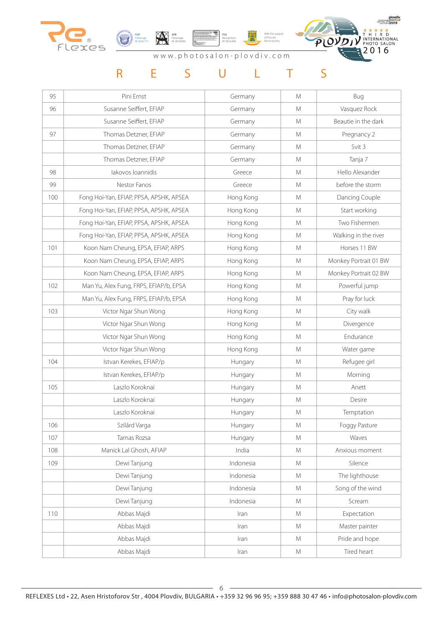





www.photosalon-plovdiv.com

## R E S U L T S

| 95  | Pini Ernst                              | Germany   | M             | Bug                   |
|-----|-----------------------------------------|-----------|---------------|-----------------------|
| 96  | Susanne Seiffert, EFIAP                 | Germany   | M             | Vasquez Rock          |
|     | Susanne Seiffert, EFIAP                 | Germany   | M             | Beautie in the dark   |
| 97  | Thomas Detzner, EFIAP                   | Germany   | M             | Pregnancy 2           |
|     | Thomas Detzner, EFIAP                   | Germany   | M             | Svit 3                |
|     | Thomas Detzner, EFIAP                   | Germany   | M             | Tanja 7               |
| 98  | lakovos loannidis                       | Greece    | M             | Hello Alexander       |
| 99  | Nestor Fanos                            | Greece    | M             | before the storm      |
| 100 | Fong Hoi-Yan, EFIAP, PPSA, APSHK, APSEA | Hong Kong | M             | Dancing Couple        |
|     | Fong Hoi-Yan, EFIAP, PPSA, APSHK, APSEA | Hong Kong | M             | Start working         |
|     | Fong Hoi-Yan, EFIAP, PPSA, APSHK, APSEA | Hong Kong | M             | Two Fishermen         |
|     | Fong Hoi-Yan, EFIAP, PPSA, APSHK, APSEA | Hong Kong | M             | Walking in the river  |
| 101 | Koon Nam Cheung, EPSA, EFIAP, ARPS      | Hong Kong | M             | Horses 11 BW          |
|     | Koon Nam Cheung, EPSA, EFIAP, ARPS      | Hong Kong | M             | Monkey Portrait 01 BW |
|     | Koon Nam Cheung, EPSA, EFIAP, ARPS      | Hong Kong | M             | Monkey Portrait 02 BW |
| 102 | Man Yu, Alex Fung, FRPS, EFIAP/b, EPSA  | Hong Kong | M             | Powerful jump         |
|     | Man Yu, Alex Fung, FRPS, EFIAP/b, EPSA  | Hong Kong | M             | Pray for luck         |
| 103 | Victor Ngar Shun Wong                   | Hong Kong | M             | City walk             |
|     | Victor Ngar Shun Wong                   | Hong Kong | M             | Divergence            |
|     | Victor Ngar Shun Wong                   | Hong Kong | M             | Endurance             |
|     | Victor Ngar Shun Wong                   | Hong Kong | M             | Water game            |
| 104 | Istvan Kerekes, EFIAP/p                 | Hungary   | M             | Refugee girl          |
|     | Istvan Kerekes, EFIAP/p                 | Hungary   | M             | Morning               |
| 105 | Laszlo Koroknai                         | Hungary   | M             | Anett                 |
|     | Laszlo Koroknai                         | Hungary   | M             | Desire                |
|     | Laszlo Koroknai                         | Hungary   | M             | Temptation            |
| 106 | Szilárd Varga                           | Hungary   | M             | Foggy Pasture         |
| 107 | Tamas Rozsa                             | Hungary   | ${\sf M}$     | Waves                 |
| 108 | Manick Lal Ghosh, AFIAP                 | India     | M             | Anxious moment        |
| 109 | Dewi Tanjung                            | Indonesia | M             | Silence               |
|     | Dewi Tanjung                            | Indonesia | ${\sf M}$     | The lighthouse        |
|     | Dewi Tanjung                            | Indonesia | ${\sf M}$     | Song of the wind      |
|     | Dewi Tanjung                            | Indonesia | ${\sf M}$     | Scream                |
| 110 | Abbas Majdi                             | Iran      | M             | Expectation           |
|     | Abbas Majdi                             | Iran      | M             | Master painter        |
|     | Abbas Majdi                             | Iran      | M             | Pride and hope        |
|     | Abbas Majdi                             | Iran      | ${\mathsf M}$ | Tired heart           |

 $-6-$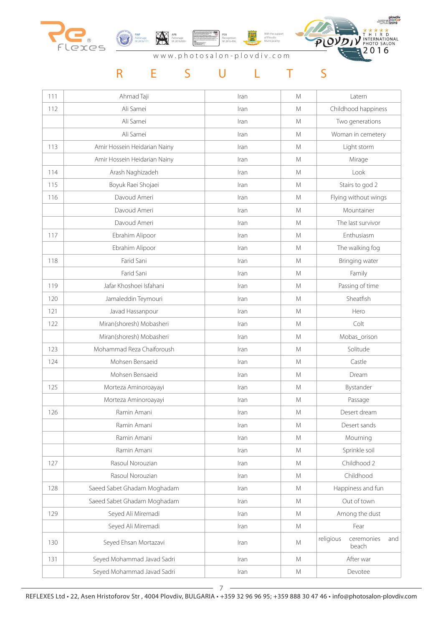





www.photosalon-plovdiv.com

| 111 | Ahmad Taji                   | Iran | M             | Latern                                  |
|-----|------------------------------|------|---------------|-----------------------------------------|
| 112 | Ali Samei                    | Iran | M             | Childhood happiness                     |
|     | Ali Samei                    | Iran | M             | Two generations                         |
|     | Ali Samei                    | Iran | M             | Woman in cemetery                       |
| 113 | Amir Hossein Heidarian Nainy | Iran | M             | Light storm                             |
|     | Amir Hossein Heidarian Nainy | Iran | M             | Mirage                                  |
| 114 | Arash Naghizadeh             | Iran | M             | Look                                    |
| 115 | Boyuk Raei Shojaei           | Iran | M             | Stairs to god 2                         |
| 116 | Davoud Ameri                 | Iran | M             | Flying without wings                    |
|     | Davoud Ameri                 | Iran | M             | Mountainer                              |
|     | Davoud Ameri                 | Iran | M             | The last survivor                       |
| 117 | Ebrahim Alipoor              | Iran | M             | Enthusiasm                              |
|     | Ebrahim Alipoor              | Iran | M             | The walking fog                         |
| 118 | Farid Sani                   | Iran | M             | Bringing water                          |
|     | Farid Sani                   | Iran | M             | Family                                  |
| 119 | Jafar Khoshoei Isfahani      | Iran | M             | Passing of time                         |
| 120 | Jamaleddin Teymouri          | Iran | M             | Sheatfish                               |
| 121 | Javad Hassanpour             | Iran | M             | Hero                                    |
| 122 | Miran(shoresh) Mobasheri     | Iran | M             | Colt                                    |
|     | Miran(shoresh) Mobasheri     | Iran | M             | Mobas_orison                            |
| 123 | Mohammad Reza Chaiforoush    | Iran | M             | Solitude                                |
| 124 | Mohsen Bensaeid              | Iran | ${\mathsf M}$ | Castle                                  |
|     | Mohsen Bensaeid              | Iran | M             | Dream                                   |
| 125 | Morteza Aminoroayayi         | Iran | M             | Bystander                               |
|     | Morteza Aminoroayayi         | Iran | M             | Passage                                 |
| 126 | Ramin Amani                  | Iran | M             | Desert dream                            |
|     | Ramin Amani                  | Iran | M             | Desert sands                            |
|     | Ramin Amani                  | Iran | M             | Mourning                                |
|     | Ramin Amani                  | Iran | M             | Sprinkle soil                           |
| 127 | Rasoul Norouzian             | Iran | M             | Childhood 2                             |
|     | Rasoul Norouzian             | Iran | M             | Childhood                               |
| 128 | Saeed Sabet Ghadam Moghadam  | Iran | M             | Happiness and fun                       |
|     | Saeed Sabet Ghadam Moghadam  | Iran | M             | Out of town                             |
| 129 | Seyed Ali Miremadi           | Iran | M             | Among the dust                          |
|     | Seyed Ali Miremadi           | Iran | M             | Fear                                    |
| 130 | Seyed Ehsan Mortazavi        | Iran | M             | religious<br>ceremonies<br>and<br>beach |
| 131 | Seyed Mohammad Javad Sadri   | Iran | M             | After war                               |
|     | Seyed Mohammad Javad Sadri   | Iran | ${\mathsf M}$ | Devotee                                 |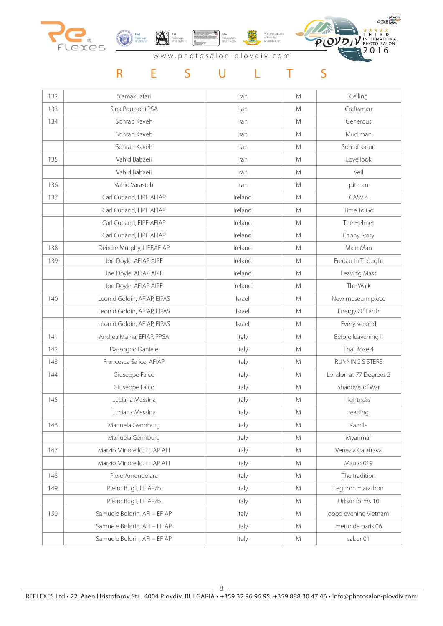





www.photosalon-plovdiv.com

| 132 | Siamak Jafari                | Iran    | M             | Ceiling                |
|-----|------------------------------|---------|---------------|------------------------|
| 133 | Sina Poursohi, PSA           | Iran    | M             | Craftsman              |
| 134 | Sohrab Kaveh                 | Iran    | M             | Generous               |
|     | Sohrab Kaveh                 | Iran    | M             | Mud man                |
|     | Sohrab Kaveh                 | Iran    | M             | Son of karun           |
| 135 | Vahid Babaeii                | Iran    | M             | Love look              |
|     | Vahid Babaeii                | Iran    | M             | Veil                   |
| 136 | Vahid Varasteh               | Iran    | M             | pitman                 |
| 137 | Carl Cutland, FIPF AFIAP     | Ireland | M             | CASV <sub>4</sub>      |
|     | Carl Cutland, FIPF AFIAP     | Ireland | M             | Time To Go             |
|     | Carl Cutland, FIPF AFIAP     | Ireland | M             | The Helmet             |
|     | Carl Cutland, FIPF AFIAP     | Ireland | M             | Ebony Ivory            |
| 138 | Deirdre Murphy, LIFF, AFIAP  | Ireland | M             | Main Man               |
| 139 | Joe Doyle, AFIAP AIPF        | Ireland | M             | Fredau In Thought      |
|     | Joe Doyle, AFIAP AIPF        | Ireland | M             | Leaving Mass           |
|     | Joe Doyle, AFIAP AIPF        | Ireland | M             | The Walk               |
| 140 | Leonid Goldin, AFIAP, EIPAS  | Israel  | M             | New museum piece       |
|     | Leonid Goldin, AFIAP, EIPAS  | Israel  | M             | Energy Of Earth        |
|     | Leonid Goldin, AFIAP, EIPAS  | Israel  | M             | Every second           |
| 141 | Andrea Maina, EFIAP, PPSA    | Italy   | M             | Before leavening II    |
| 142 | Dassogno Daniele             | Italy   | M             | Thai Boxe 4            |
| 143 | Francesca Salice, AFIAP      | Italy   | M             | RUNNING SISTERS        |
| 144 | Giuseppe Falco               | Italy   | M             | London at 77 Degrees 2 |
|     | Giuseppe Falco               | Italy   | M             | Shadows of War         |
| 145 | Luciana Messina              | Italy   | M             | lightness              |
|     | Luciana Messina              | Italy   | M             | reading                |
| 146 | Manuela Gennburg             | Italy   | M             | Kamile                 |
|     | Manuela Gennburg             | Italy   | M             | Myanmar                |
| 147 | Marzio Minorello, EFIAP AFI  | Italy   | M             | Venezia Calatrava      |
|     | Marzio Minorello, EFIAP AFI  | Italy   | M             | Mauro 019              |
| 148 | Piero Amendolara             | Italy   | ${\mathsf M}$ | The tradition          |
| 149 | Pietro Bugli, EFIAP/b        | Italy   | ${\sf M}$     | Leghorn marathon       |
|     | Pietro Bugli, EFIAP/b        | Italy   | ${\sf M}$     | Urban forms 10         |
| 150 | Samuele Boldrin, AFI - EFIAP | Italy   | M             | good evening vietnam   |
|     | Samuele Boldrin, AFI - EFIAP | Italy   | M             | metro de paris 06      |
|     | Samuele Boldrin, AFI - EFIAP | Italy   | M             | saber 01               |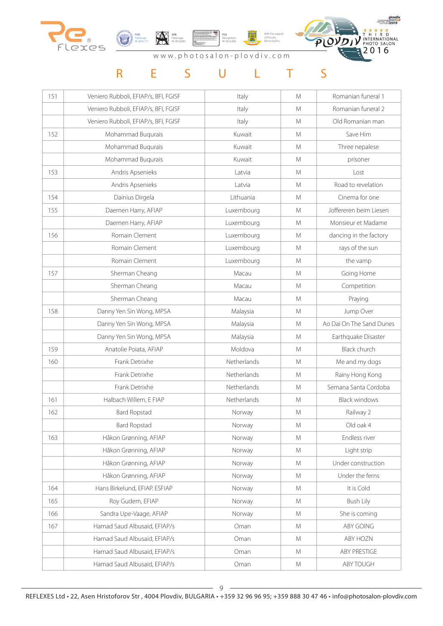





www.photosalon-plovdiv.com

| 151 | Veniero Rubboli, EFIAP/s, BFI, FGISF | Italy       | M | Romanian funeral 1       |
|-----|--------------------------------------|-------------|---|--------------------------|
|     | Veniero Rubboli, EFIAP/s, BFI, FGISF | Italy       | M | Romanian funeral 2       |
|     | Veniero Rubboli, EFIAP/s, BFI, FGISF | Italy       | M | Old Romanian man         |
| 152 | Mohammad Buqurais                    | Kuwait      | M | Save Him                 |
|     | Mohammad Buqurais                    | Kuwait      | M | Three nepalese           |
|     | Mohammad Buqurais                    | Kuwait      | M | prisoner                 |
| 153 | Andris Apsenieks                     | Latvia      | M | Lost                     |
|     | Andris Apsenieks                     | Latvia      | M | Road to revelation       |
| 154 | Dainius Dirgela                      | Lithuania   | M | Cinema for one           |
| 155 | Daemen Harry, AFIAP                  | Luxembourg  | M | Joffereren beim Liesen   |
|     | Daemen Harry, AFIAP                  | Luxembourg  | M | Monsieur et Madame       |
| 156 | Romain Clement                       | Luxembourg  | M | dancing in the factory   |
|     | Romain Clement                       | Luxembourg  | M | rays of the sun          |
|     | Romain Clement                       | Luxembourg  | M | the vamp                 |
| 157 | Sherman Cheang                       | Macau       | M | Going Home               |
|     | Sherman Cheang                       | Macau       | M | Competition              |
|     | Sherman Cheang                       | Macau       | M | Praying                  |
| 158 | Danny Yen Sin Wong, MPSA             | Malaysia    | M | Jump Over                |
|     | Danny Yen Sin Wong, MPSA             | Malaysia    | M | Ao Dai On The Sand Dunes |
|     | Danny Yen Sin Wong, MPSA             | Malaysia    | M | Earthquake Disaster      |
| 159 | Anatolie Poiata, AFIAP               | Moldova     | M | <b>Black church</b>      |
| 160 | Frank Detrixhe                       | Netherlands | M | Me and my dogs           |
|     | Frank Detrixhe                       | Netherlands | M | Rainy Hong Kong          |
|     | Frank Detrixhe                       | Netherlands | M | Semana Santa Cordoba     |
| 161 | Halbach Willem, E FIAP               | Netherlands | M | <b>Black windows</b>     |
| 162 | <b>Bard Ropstad</b>                  | Norway      | M | Railway 2                |
|     | <b>Bard Ropstad</b>                  | Norway      | M | Old oak 4                |
| 163 | Håkon Grønning, AFIAP                | Norway      | M | Endless river            |
|     | Håkon Grønning, AFIAP                | Norway      | M | Light strip              |
|     | Håkon Grønning, AFIAP                | Norway      | M | Under construction       |
|     | Håkon Grønning, AFIAP                | Norway      | M | Under the ferns          |
| 164 | Hans Birkelund, EFIAP. ESFIAP        | Norway      | M | It is Cold               |
| 165 | Roy Gudem, EFIAP                     | Norway      | M | <b>Bush Lily</b>         |
| 166 | Sandra Upe-Vaage, AFIAP              | Norway      | M | She is coming            |
| 167 | Hamad Saud Albusaid, EFIAP/s         | Oman        | M | ABY GOING                |
|     | Hamad Saud Albusaid, EFIAP/s         | Oman        | M | ABY HOZN                 |
|     | Hamad Saud Albusaid, EFIAP/s         | Oman        | M | ABY PRESTIGE             |
|     | Hamad Saud Albusaid, EFIAP/s         | Oman        | M | ABY TOUGH                |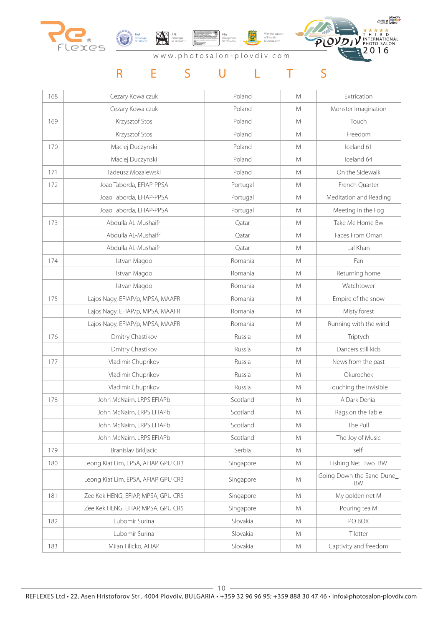





www.photosalon-plovdiv.com

| 168 | Cezary Kowalczuk                     | Poland    | M | Extrication                           |
|-----|--------------------------------------|-----------|---|---------------------------------------|
|     | Cezary Kowalczuk                     | Poland    | M | Monster Imagination                   |
| 169 | Krzysztof Stos                       | Poland    | M | Touch                                 |
|     | Krzysztof Stos                       | Poland    | M | Freedom                               |
| 170 | Maciej Duczynski                     | Poland    | M | Iceland 61                            |
|     | Maciej Duczynski                     | Poland    | M | Iceland 64                            |
| 171 | Tadeusz Mozalewski                   | Poland    | M | On the Sidewalk                       |
| 172 | Joao Taborda, EFIAP-PPSA             | Portugal  | M | French Quarter                        |
|     | Joao Taborda, EFIAP-PPSA             | Portugal  | M | Meditation and Reading                |
|     | Joao Taborda, EFIAP-PPSA             | Portugal  | M | Meeting in the Fog                    |
| 173 | Abdulla AL-Mushaifri                 | Qatar     | M | Take Me Home Bw                       |
|     | Abdulla AL-Mushaifri                 | Qatar     | M | Faces From Oman                       |
|     | Abdulla AL-Mushaifri                 | Qatar     | M | Lal Khan                              |
| 174 | Istvan Magdo                         | Romania   | M | Fan                                   |
|     | Istvan Magdo                         | Romania   | M | Returning home                        |
|     | Istvan Magdo                         | Romania   | M | Watchtower                            |
| 175 | Lajos Nagy, EFIAP/p, MPSA, MAAFR     | Romania   | M | Empire of the snow                    |
|     | Lajos Nagy, EFIAP/p, MPSA, MAAFR     | Romania   | M | Misty forest                          |
|     | Lajos Nagy, EFIAP/p, MPSA, MAAFR     | Romania   | M | Running with the wind                 |
| 176 | Dmitry Chastikov                     | Russia    | M | Triptych                              |
|     | Dmitry Chastikov                     | Russia    | M | Dancers still kids                    |
| 177 | Vladimir Chuprikov                   | Russia    | M | News from the past                    |
|     | Vladimir Chuprikov                   | Russia    | M | Okurochek                             |
|     | Vladimir Chuprikov                   | Russia    | M | Touching the invisible                |
| 178 | John McNairn, LRPS EFIAPb            | Scotland  | M | A Dark Denial                         |
|     | John McNairn, LRPS EFIAPb            | Scotland  | M | Rags on the Table                     |
|     | John McNairn, LRPS EFIAPb            | Scotland  | M | The Pull                              |
|     | John McNairn, LRPS EFIAPb            | Scotland  | M | The Joy of Music                      |
| 179 | Branislav Brkljacic                  | Serbia    | M | selfi                                 |
| 180 | Leong Kiat Lim, EPSA, AFIAP, GPU CR3 | Singapore | M | Fishing Net_Two_BW                    |
|     | Leong Kiat Lim, EPSA, AFIAP, GPU CR3 | Singapore | M | Going Down the Sand Dune<br><b>BW</b> |
| 181 | Zee Kek HENG, EFIAP, MPSA, GPU CR5   | Singapore | M | My golden net M                       |
|     | Zee Kek HENG, EFIAP, MPSA, GPU CR5   | Singapore | M | Pouring tea M                         |
| 182 | Lubomír Surina                       | Slovakia  | M | PO BOX                                |
|     | Lubomír Surina                       | Slovakia  | M | T letter                              |
| 183 | Milan Filicko, AFIAP                 | Slovakia  | M | Captivity and freedom                 |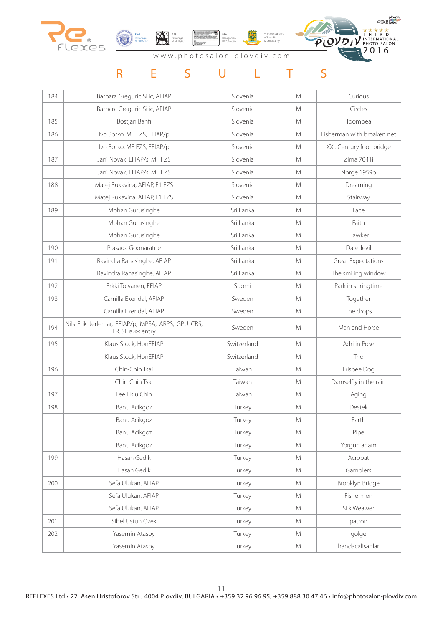



With the support PSA Recognition № 2016-096纙 of Plovdiv Municipality



www.photosalon-plovdiv.com

| 184 | Barbara Greguric Silic, AFIAP                                         | Slovenia    | M             | Curious                    |
|-----|-----------------------------------------------------------------------|-------------|---------------|----------------------------|
|     | Barbara Greguric Silic, AFIAP                                         | Slovenia    | M             | Circles                    |
| 185 | Bostjan Banfi                                                         | Slovenia    | M             | Toompea                    |
| 186 | Ivo Borko, MF FZS, EFIAP/p                                            | Slovenia    | M             | Fisherman with broaken net |
|     | Ivo Borko, MF FZS, EFIAP/p                                            | Slovenia    | M             | XXI. Century foot-bridge   |
| 187 | Jani Novak, EFIAP/s, MF FZS                                           | Slovenia    | M             | Zima 7041i                 |
|     | Jani Novak, EFIAP/s, MF FZS                                           | Slovenia    | M             | Norge 1959p                |
| 188 | Matej Rukavina, AFIAP, F1 FZS                                         | Slovenia    | M             | Dreaming                   |
|     | Matej Rukavina, AFIAP, F1 FZS                                         | Slovenia    | M             | Stairway                   |
| 189 | Mohan Gurusinghe                                                      | Sri Lanka   | M             | Face                       |
|     | Mohan Gurusinghe                                                      | Sri Lanka   | M             | Faith                      |
|     | Mohan Gurusinghe                                                      | Sri Lanka   | M             | Hawker                     |
| 190 | Prasada Goonaratne                                                    | Sri Lanka   | M             | Daredevil                  |
| 191 | Ravindra Ranasinghe, AFIAP                                            | Sri Lanka   | M             | <b>Great Expectations</b>  |
|     | Ravindra Ranasinghe, AFIAP                                            | Sri Lanka   | M             | The smiling window         |
| 192 | Erkki Toivanen, EFIAP                                                 | Suomi       | M             | Park in springtime         |
| 193 | Camilla Ekendal, AFIAP                                                | Sweden      | M             | Together                   |
|     | Camilla Ekendal, AFIAP                                                | Sweden      | M             | The drops                  |
| 194 | Nils-Erik Jerlemar, EFIAP/p, MPSA, ARPS, GPU CR5,<br>ER.ISF виж entry | Sweden      | M             | Man and Horse              |
| 195 | Klaus Stock, HonEFIAP                                                 | Switzerland | M             | Adri in Pose               |
|     | Klaus Stock, HonEFIAP                                                 | Switzerland | M             | Trio                       |
| 196 | Chin-Chin Tsai                                                        | Taiwan      | M             | Frisbee Dog                |
|     | Chin-Chin Tsai                                                        | Taiwan      | M             | Damselfly in the rain      |
| 197 | Lee Hsiu Chin                                                         | Taiwan      | M             | Aging                      |
| 198 | Banu Acikgoz                                                          | Turkey      | M             | Destek                     |
|     | Banu Acikgoz                                                          | Turkey      | M             | Earth                      |
|     | Banu Acikgoz                                                          | Turkey      | M             | Pipe                       |
|     | Banu Acikgoz                                                          | Turkey      | M             | Yorgun adam                |
| 199 | Hasan Gedik                                                           | Turkey      | M             | Acrobat                    |
|     | Hasan Gedik                                                           | Turkey      | M             | Gamblers                   |
| 200 | Sefa Ulukan, AFIAP                                                    | Turkey      | M             | Brooklyn Bridge            |
|     | Sefa Ulukan, AFIAP                                                    | Turkey      | M             | Fishermen                  |
|     | Sefa Ulukan, AFIAP                                                    | Turkey      | M             | Silk Weawer                |
| 201 | Sibel Ustun Ozek                                                      | Turkey      | M             | patron                     |
| 202 | Yasemin Atasoy                                                        | Turkey      | M             | golge                      |
|     | Yasemin Atasoy                                                        | Turkey      | ${\mathsf M}$ | handacalisanlar            |